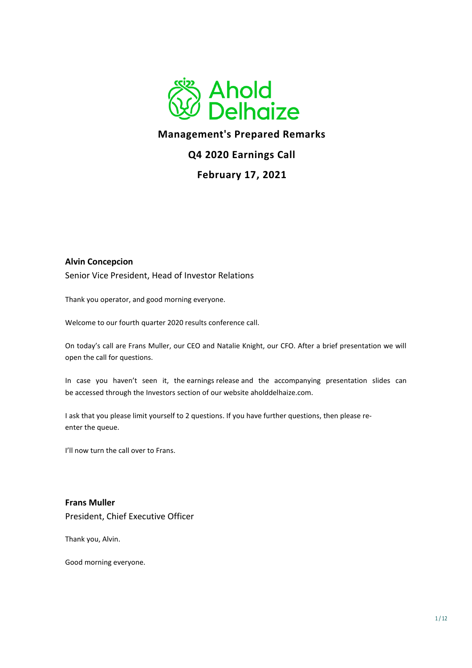

# **Management's Prepared Remarks**

## **Q4 2020 Earnings Call**

## **February 17, 2021**

#### **Alvin Concepcion**

Senior Vice President, Head of Investor Relations

Thank you operator, and good morning everyone.

Welcome to our fourth quarter 2020 results conference call.

On today's call are Frans Muller, our CEO and Natalie Knight, our CFO. After a brief presentation we will open the call for questions.

In case you haven't seen it, the earnings release and the accompanying presentation slides can be accessed through the Investors section of our website aholddelhaize.com.

I ask that you please limit yourself to 2 questions. If you have further questions, then please reenter the queue.

I'll now turn the call over to Frans.

**Frans Muller**  President, Chief Executive Officer

Thank you, Alvin.

Good morning everyone.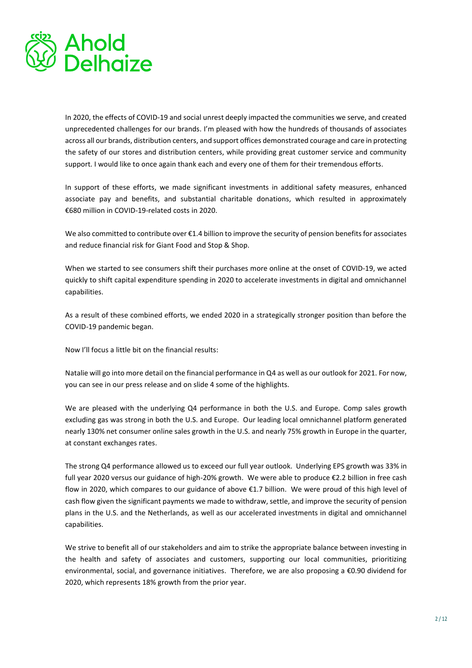

In 2020, the effects of COVID-19 and social unrest deeply impacted the communities we serve, and created unprecedented challenges for our brands. I'm pleased with how the hundreds of thousands of associates across all our brands, distribution centers, and support offices demonstrated courage and care in protecting the safety of our stores and distribution centers, while providing great customer service and community support. I would like to once again thank each and every one of them for their tremendous efforts.

In support of these efforts, we made significant investments in additional safety measures, enhanced associate pay and benefits, and substantial charitable donations, which resulted in approximately €680 million in COVID-19-related costs in 2020.

We also committed to contribute over €1.4 billion to improve the security of pension benefits for associates and reduce financial risk for Giant Food and Stop & Shop.

When we started to see consumers shift their purchases more online at the onset of COVID-19, we acted quickly to shift capital expenditure spending in 2020 to accelerate investments in digital and omnichannel capabilities.

As a result of these combined efforts, we ended 2020 in a strategically stronger position than before the COVID-19 pandemic began.

Now I'll focus a little bit on the financial results:

Natalie will go into more detail on the financial performance in Q4 as well as our outlook for 2021. For now, you can see in our press release and on slide 4 some of the highlights.

We are pleased with the underlying Q4 performance in both the U.S. and Europe. Comp sales growth excluding gas was strong in both the U.S. and Europe. Our leading local omnichannel platform generated nearly 130% net consumer online sales growth in the U.S. and nearly 75% growth in Europe in the quarter, at constant exchanges rates.

The strong Q4 performance allowed us to exceed our full year outlook. Underlying EPS growth was 33% in full year 2020 versus our guidance of high-20% growth. We were able to produce €2.2 billion in free cash flow in 2020, which compares to our guidance of above €1.7 billion. We were proud of this high level of cash flow given the significant payments we made to withdraw, settle, and improve the security of pension plans in the U.S. and the Netherlands, as well as our accelerated investments in digital and omnichannel capabilities.

We strive to benefit all of our stakeholders and aim to strike the appropriate balance between investing in the health and safety of associates and customers, supporting our local communities, prioritizing environmental, social, and governance initiatives. Therefore, we are also proposing a €0.90 dividend for 2020, which represents 18% growth from the prior year.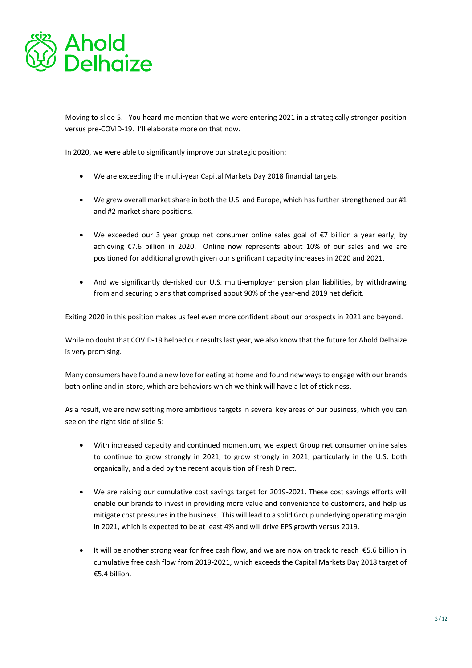

Moving to slide 5. You heard me mention that we were entering 2021 in a strategically stronger position versus pre-COVID-19. I'll elaborate more on that now.

In 2020, we were able to significantly improve our strategic position:

- We are exceeding the multi-year Capital Markets Day 2018 financial targets.
- We grew overall market share in both the U.S. and Europe, which has further strengthened our #1 and #2 market share positions.
- We exceeded our 3 year group net consumer online sales goal of €7 billion a year early, by achieving €7.6 billion in 2020. Online now represents about 10% of our sales and we are positioned for additional growth given our significant capacity increases in 2020 and 2021.
- And we significantly de-risked our U.S. multi-employer pension plan liabilities, by withdrawing from and securing plans that comprised about 90% of the year-end 2019 net deficit.

Exiting 2020 in this position makes us feel even more confident about our prospects in 2021 and beyond.

While no doubt that COVID-19 helped our results last year, we also know that the future for Ahold Delhaize is very promising.

Many consumers have found a new love for eating at home and found new ways to engage with our brands both online and in-store, which are behaviors which we think will have a lot of stickiness.

As a result, we are now setting more ambitious targets in several key areas of our business, which you can see on the right side of slide 5:

- With increased capacity and continued momentum, we expect Group net consumer online sales to continue to grow strongly in 2021, to grow strongly in 2021, particularly in the U.S. both organically, and aided by the recent acquisition of Fresh Direct.
- We are raising our cumulative cost savings target for 2019-2021. These cost savings efforts will enable our brands to invest in providing more value and convenience to customers, and help us mitigate cost pressures in the business. This will lead to a solid Group underlying operating margin in 2021, which is expected to be at least 4% and will drive EPS growth versus 2019.
- It will be another strong year for free cash flow, and we are now on track to reach €5.6 billion in cumulative free cash flow from 2019-2021, which exceeds the Capital Markets Day 2018 target of €5.4 billion.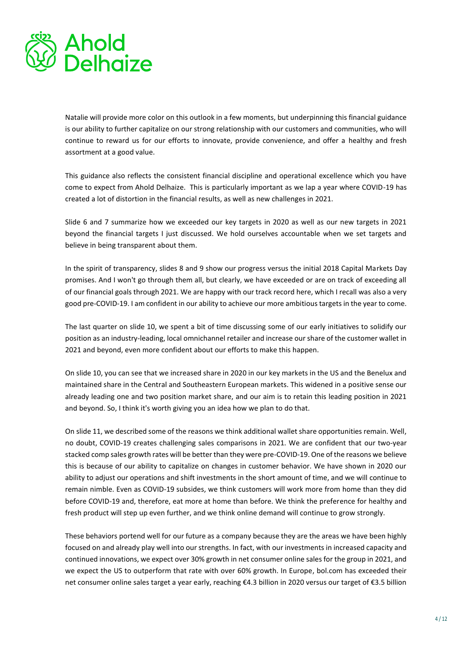

Natalie will provide more color on this outlook in a few moments, but underpinning this financial guidance is our ability to further capitalize on our strong relationship with our customers and communities, who will continue to reward us for our efforts to innovate, provide convenience, and offer a healthy and fresh assortment at a good value.

This guidance also reflects the consistent financial discipline and operational excellence which you have come to expect from Ahold Delhaize. This is particularly important as we lap a year where COVID-19 has created a lot of distortion in the financial results, as well as new challenges in 2021.

Slide 6 and 7 summarize how we exceeded our key targets in 2020 as well as our new targets in 2021 beyond the financial targets I just discussed. We hold ourselves accountable when we set targets and believe in being transparent about them.

In the spirit of transparency, slides 8 and 9 show our progress versus the initial 2018 Capital Markets Day promises. And I won't go through them all, but clearly, we have exceeded or are on track of exceeding all of our financial goals through 2021. We are happy with our track record here, which I recall was also a very good pre-COVID-19. I am confident in our ability to achieve our more ambitious targets in the year to come.

The last quarter on slide 10, we spent a bit of time discussing some of our early initiatives to solidify our position as an industry-leading, local omnichannel retailer and increase our share of the customer wallet in 2021 and beyond, even more confident about our efforts to make this happen.

On slide 10, you can see that we increased share in 2020 in our key markets in the US and the Benelux and maintained share in the Central and Southeastern European markets. This widened in a positive sense our already leading one and two position market share, and our aim is to retain this leading position in 2021 and beyond. So, I think it's worth giving you an idea how we plan to do that.

On slide 11, we described some of the reasons we think additional wallet share opportunities remain. Well, no doubt, COVID-19 creates challenging sales comparisons in 2021. We are confident that our two-year stacked comp sales growth rates will be better than they were pre-COVID-19. One of the reasons we believe this is because of our ability to capitalize on changes in customer behavior. We have shown in 2020 our ability to adjust our operations and shift investments in the short amount of time, and we will continue to remain nimble. Even as COVID-19 subsides, we think customers will work more from home than they did before COVID-19 and, therefore, eat more at home than before. We think the preference for healthy and fresh product will step up even further, and we think online demand will continue to grow strongly.

These behaviors portend well for our future as a company because they are the areas we have been highly focused on and already play well into our strengths. In fact, with our investments in increased capacity and continued innovations, we expect over 30% growth in net consumer online sales for the group in 2021, and we expect the US to outperform that rate with over 60% growth. In Europe, bol.com has exceeded their net consumer online sales target a year early, reaching €4.3 billion in 2020 versus our target of €3.5 billion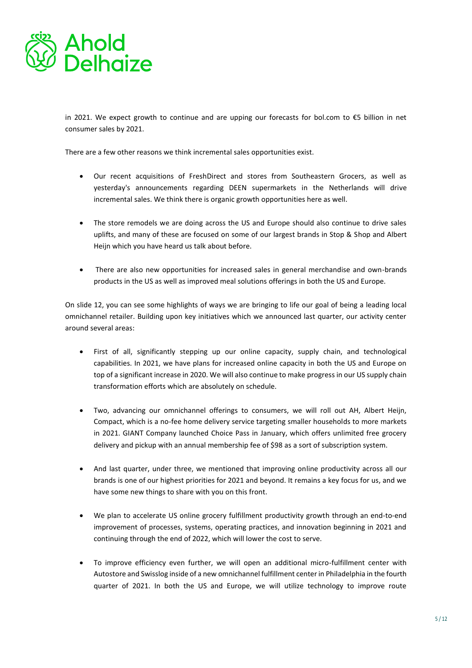

in 2021. We expect growth to continue and are upping our forecasts for bol.com to €5 billion in net consumer sales by 2021.

There are a few other reasons we think incremental sales opportunities exist.

- Our recent acquisitions of FreshDirect and stores from Southeastern Grocers, as well as yesterday's announcements regarding DEEN supermarkets in the Netherlands will drive incremental sales. We think there is organic growth opportunities here as well.
- The store remodels we are doing across the US and Europe should also continue to drive sales uplifts, and many of these are focused on some of our largest brands in Stop & Shop and Albert Heijn which you have heard us talk about before.
- There are also new opportunities for increased sales in general merchandise and own-brands products in the US as well as improved meal solutions offerings in both the US and Europe.

On slide 12, you can see some highlights of ways we are bringing to life our goal of being a leading local omnichannel retailer. Building upon key initiatives which we announced last quarter, our activity center around several areas:

- First of all, significantly stepping up our online capacity, supply chain, and technological capabilities. In 2021, we have plans for increased online capacity in both the US and Europe on top of a significant increase in 2020. We will also continue to make progress in our US supply chain transformation efforts which are absolutely on schedule.
- Two, advancing our omnichannel offerings to consumers, we will roll out AH, Albert Heijn, Compact, which is a no-fee home delivery service targeting smaller households to more markets in 2021. GIANT Company launched Choice Pass in January, which offers unlimited free grocery delivery and pickup with an annual membership fee of \$98 as a sort of subscription system.
- And last quarter, under three, we mentioned that improving online productivity across all our brands is one of our highest priorities for 2021 and beyond. It remains a key focus for us, and we have some new things to share with you on this front.
- We plan to accelerate US online grocery fulfillment productivity growth through an end-to-end improvement of processes, systems, operating practices, and innovation beginning in 2021 and continuing through the end of 2022, which will lower the cost to serve.
- To improve efficiency even further, we will open an additional micro-fulfillment center with Autostore and Swisslog inside of a new omnichannel fulfillment center in Philadelphia in the fourth quarter of 2021. In both the US and Europe, we will utilize technology to improve route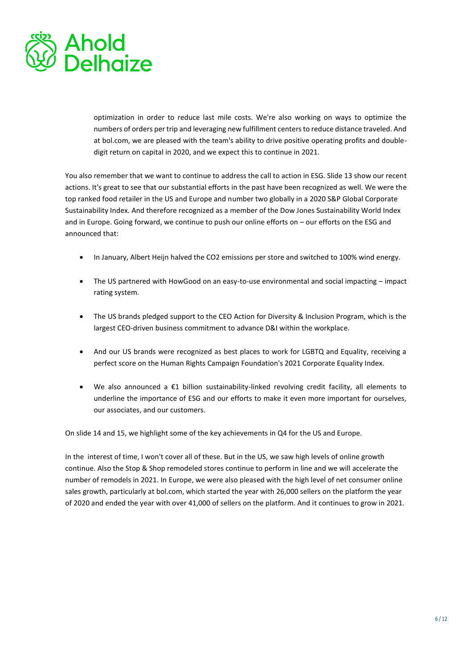

optimization in order to reduce last mile costs. We're also working on ways to optimize the numbers of orders per trip and leveraging new fulfillment centers to reduce distance traveled. And at bol.com, we are pleased with the team's ability to drive positive operating profits and doubledigit return on capital in 2020, and we expect this to continue in 2021.

You also remember that we want to continue to address the call to action in ESG. Slide 13 show our recent actions. It's great to see that our substantial efforts in the past have been recognized as well. We were the top ranked food retailer in the US and Europe and number two globally in a 2020 S&P Global Corporate Sustainability Index. And therefore recognized as a member of the Dow Jones Sustainability World Index and in Europe. Going forward, we continue to push our online efforts on – our efforts on the ESG and announced that:

- In January, Albert Heijn halved the CO2 emissions per store and switched to 100% wind energy.
- The US partnered with HowGood on an easy-to-use environmental and social impacting impact rating system.
- The US brands pledged support to the CEO Action for Diversity & Inclusion Program, which is the largest CEO-driven business commitment to advance D&I within the workplace.
- And our US brands were recognized as best places to work for LGBTQ and Equality, receiving a perfect score on the Human Rights Campaign Foundation's 2021 Corporate Equality Index.
- We also announced a  $\epsilon$ 1 billion sustainability-linked revolving credit facility, all elements to underline the importance of ESG and our efforts to make it even more important for ourselves, our associates, and our customers.

On slide 14 and 15, we highlight some of the key achievements in Q4 for the US and Europe.

In the interest of time, I won't cover all of these. But in the US, we saw high levels of online growth continue. Also the Stop & Shop remodeled stores continue to perform in line and we will accelerate the number of remodels in 2021. In Europe, we were also pleased with the high level of net consumer online sales growth, particularly at bol.com, which started the year with 26,000 sellers on the platform the year of 2020 and ended the year with over 41,000 of sellers on the platform. And it continues to grow in 2021.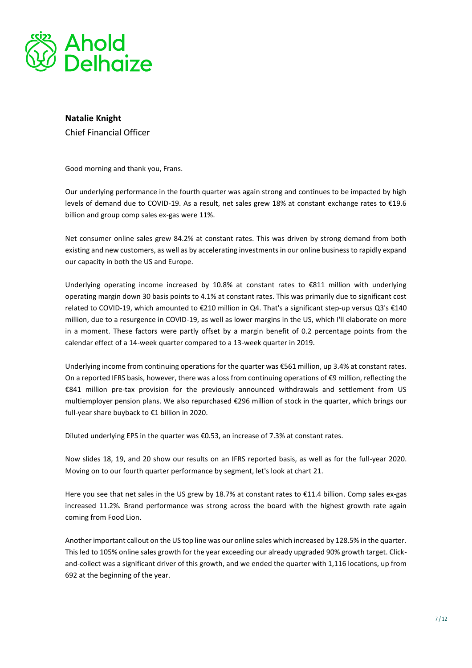

### **Natalie Knight**  Chief Financial Officer

Good morning and thank you, Frans.

Our underlying performance in the fourth quarter was again strong and continues to be impacted by high levels of demand due to COVID-19. As a result, net sales grew 18% at constant exchange rates to €19.6 billion and group comp sales ex-gas were 11%.

Net consumer online sales grew 84.2% at constant rates. This was driven by strong demand from both existing and new customers, as well as by accelerating investments in our online business to rapidly expand our capacity in both the US and Europe.

Underlying operating income increased by 10.8% at constant rates to €811 million with underlying operating margin down 30 basis points to 4.1% at constant rates. This was primarily due to significant cost related to COVID-19, which amounted to €210 million in Q4. That's a significant step-up versus Q3's €140 million, due to a resurgence in COVID-19, as well as lower margins in the US, which I'll elaborate on more in a moment. These factors were partly offset by a margin benefit of 0.2 percentage points from the calendar effect of a 14-week quarter compared to a 13-week quarter in 2019.

Underlying income from continuing operations for the quarter was €561 million, up 3.4% at constant rates. On a reported IFRS basis, however, there was a loss from continuing operations of €9 million, reflecting the €841 million pre-tax provision for the previously announced withdrawals and settlement from US multiemployer pension plans. We also repurchased €296 million of stock in the quarter, which brings our full-year share buyback to €1 billion in 2020.

Diluted underlying EPS in the quarter was €0.53, an increase of 7.3% at constant rates.

Now slides 18, 19, and 20 show our results on an IFRS reported basis, as well as for the full-year 2020. Moving on to our fourth quarter performance by segment, let's look at chart 21.

Here you see that net sales in the US grew by 18.7% at constant rates to €11.4 billion. Comp sales ex-gas increased 11.2%. Brand performance was strong across the board with the highest growth rate again coming from Food Lion.

Another important callout on the US top line was our online sales which increased by 128.5% in the quarter. This led to 105% online sales growth for the year exceeding our already upgraded 90% growth target. Clickand-collect was a significant driver of this growth, and we ended the quarter with 1,116 locations, up from 692 at the beginning of the year.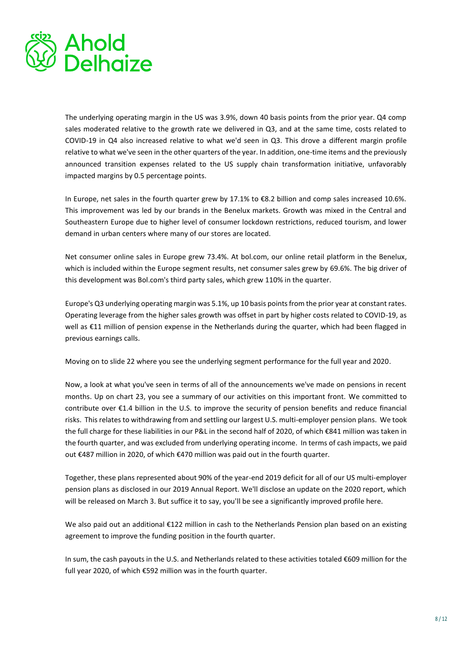

The underlying operating margin in the US was 3.9%, down 40 basis points from the prior year. Q4 comp sales moderated relative to the growth rate we delivered in Q3, and at the same time, costs related to COVID-19 in Q4 also increased relative to what we'd seen in Q3. This drove a different margin profile relative to what we've seen in the other quarters of the year. In addition, one-time items and the previously announced transition expenses related to the US supply chain transformation initiative, unfavorably impacted margins by 0.5 percentage points.

In Europe, net sales in the fourth quarter grew by 17.1% to €8.2 billion and comp sales increased 10.6%. This improvement was led by our brands in the Benelux markets. Growth was mixed in the Central and Southeastern Europe due to higher level of consumer lockdown restrictions, reduced tourism, and lower demand in urban centers where many of our stores are located.

Net consumer online sales in Europe grew 73.4%. At bol.com, our online retail platform in the Benelux, which is included within the Europe segment results, net consumer sales grew by 69.6%. The big driver of this development was Bol.com's third party sales, which grew 110% in the quarter.

Europe's Q3 underlying operating margin was 5.1%, up 10 basis points from the prior year at constant rates. Operating leverage from the higher sales growth was offset in part by higher costs related to COVID-19, as well as €11 million of pension expense in the Netherlands during the quarter, which had been flagged in previous earnings calls.

Moving on to slide 22 where you see the underlying segment performance for the full year and 2020.

Now, a look at what you've seen in terms of all of the announcements we've made on pensions in recent months. Up on chart 23, you see a summary of our activities on this important front. We committed to contribute over €1.4 billion in the U.S. to improve the security of pension benefits and reduce financial risks. This relates to withdrawing from and settling our largest U.S. multi-employer pension plans. We took the full charge for these liabilities in our P&L in the second half of 2020, of which €841 million was taken in the fourth quarter, and was excluded from underlying operating income. In terms of cash impacts, we paid out €487 million in 2020, of which €470 million was paid out in the fourth quarter.

Together, these plans represented about 90% of the year-end 2019 deficit for all of our US multi-employer pension plans as disclosed in our 2019 Annual Report. We'll disclose an update on the 2020 report, which will be released on March 3. But suffice it to say, you'll be see a significantly improved profile here.

We also paid out an additional €122 million in cash to the Netherlands Pension plan based on an existing agreement to improve the funding position in the fourth quarter.

In sum, the cash payouts in the U.S. and Netherlands related to these activities totaled €609 million for the full year 2020, of which €592 million was in the fourth quarter.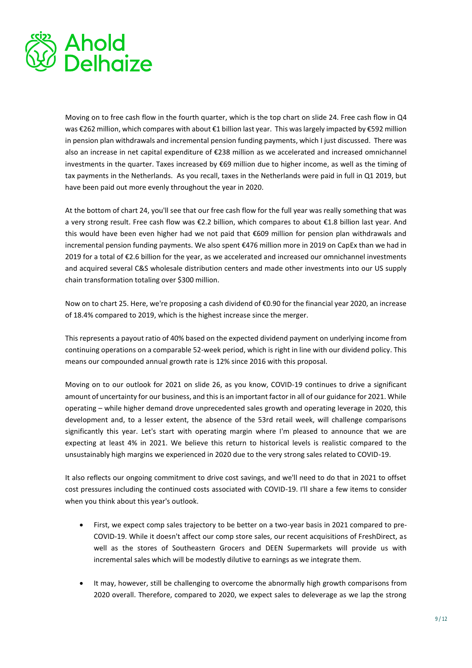

Moving on to free cash flow in the fourth quarter, which is the top chart on slide 24. Free cash flow in Q4 was €262 million, which compares with about €1 billion last year. This was largely impacted by €592 million in pension plan withdrawals and incremental pension funding payments, which I just discussed. There was also an increase in net capital expenditure of €238 million as we accelerated and increased omnichannel investments in the quarter. Taxes increased by €69 million due to higher income, as well as the timing of tax payments in the Netherlands. As you recall, taxes in the Netherlands were paid in full in Q1 2019, but have been paid out more evenly throughout the year in 2020.

At the bottom of chart 24, you'll see that our free cash flow for the full year was really something that was a very strong result. Free cash flow was €2.2 billion, which compares to about €1.8 billion last year. And this would have been even higher had we not paid that €609 million for pension plan withdrawals and incremental pension funding payments. We also spent €476 million more in 2019 on CapEx than we had in 2019 for a total of €2.6 billion for the year, as we accelerated and increased our omnichannel investments and acquired several C&S wholesale distribution centers and made other investments into our US supply chain transformation totaling over \$300 million.

Now on to chart 25. Here, we're proposing a cash dividend of €0.90 for the financial year 2020, an increase of 18.4% compared to 2019, which is the highest increase since the merger.

This represents a payout ratio of 40% based on the expected dividend payment on underlying income from continuing operations on a comparable 52-week period, which is right in line with our dividend policy. This means our compounded annual growth rate is 12% since 2016 with this proposal.

Moving on to our outlook for 2021 on slide 26, as you know, COVID-19 continues to drive a significant amount of uncertainty for our business, and this is an important factor in all of our guidance for 2021. While operating – while higher demand drove unprecedented sales growth and operating leverage in 2020, this development and, to a lesser extent, the absence of the 53rd retail week, will challenge comparisons significantly this year. Let's start with operating margin where I'm pleased to announce that we are expecting at least 4% in 2021. We believe this return to historical levels is realistic compared to the unsustainably high margins we experienced in 2020 due to the very strong sales related to COVID-19.

It also reflects our ongoing commitment to drive cost savings, and we'll need to do that in 2021 to offset cost pressures including the continued costs associated with COVID-19. I'll share a few items to consider when you think about this year's outlook.

- First, we expect comp sales trajectory to be better on a two-year basis in 2021 compared to pre-COVID-19. While it doesn't affect our comp store sales, our recent acquisitions of FreshDirect, as well as the stores of Southeastern Grocers and DEEN Supermarkets will provide us with incremental sales which will be modestly dilutive to earnings as we integrate them.
- It may, however, still be challenging to overcome the abnormally high growth comparisons from 2020 overall. Therefore, compared to 2020, we expect sales to deleverage as we lap the strong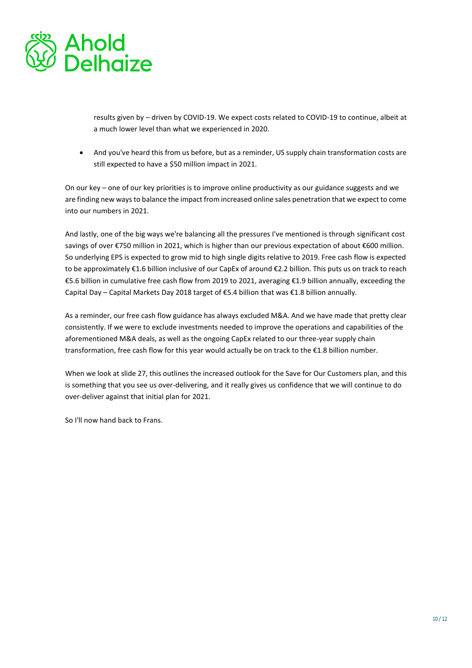

results given by – driven by COVID-19. We expect costs related to COVID-19 to continue, albeit at a much lower level than what we experienced in 2020.

• And you've heard this from us before, but as a reminder, US supply chain transformation costs are still expected to have a \$50 million impact in 2021.

On our key – one of our key priorities is to improve online productivity as our guidance suggests and we are finding new ways to balance the impact from increased online sales penetration that we expect to come into our numbers in 2021.

And lastly, one of the big ways we're balancing all the pressures I've mentioned is through significant cost savings of over €750 million in 2021, which is higher than our previous expectation of about €600 million. So underlying EPS is expected to grow mid to high single digits relative to 2019. Free cash flow is expected to be approximately €1.6 billion inclusive of our CapEx of around €2.2 billion. This puts us on track to reach €5.6 billion in cumulative free cash flow from 2019 to 2021, averaging €1.9 billion annually, exceeding the Capital Day – Capital Markets Day 2018 target of €5.4 billion that was €1.8 billion annually.

As a reminder, our free cash flow guidance has always excluded M&A. And we have made that pretty clear consistently. If we were to exclude investments needed to improve the operations and capabilities of the aforementioned M&A deals, as well as the ongoing CapEx related to our three-year supply chain transformation, free cash flow for this year would actually be on track to the €1.8 billion number.

When we look at slide 27, this outlines the increased outlook for the Save for Our Customers plan, and this is something that you see us over-delivering, and it really gives us confidence that we will continue to do over-deliver against that initial plan for 2021.

So I'll now hand back to Frans.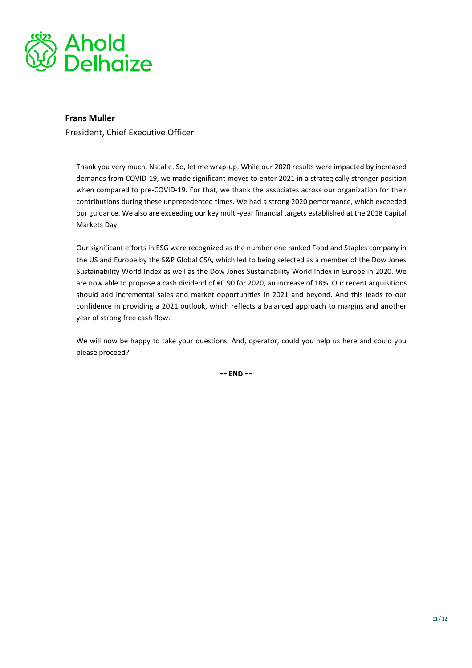

### **Frans Muller**

President, Chief Executive Officer

Thank you very much, Natalie. So, let me wrap-up. While our 2020 results were impacted by increased demands from COVID-19, we made significant moves to enter 2021 in a strategically stronger position when compared to pre-COVID-19. For that, we thank the associates across our organization for their contributions during these unprecedented times. We had a strong 2020 performance, which exceeded our guidance. We also are exceeding our key multi-year financial targets established at the 2018 Capital Markets Day.

Our significant efforts in ESG were recognized as the number one ranked Food and Staples company in the US and Europe by the S&P Global CSA, which led to being selected as a member of the Dow Jones Sustainability World Index as well as the Dow Jones Sustainability World Index in Europe in 2020. We are now able to propose a cash dividend of €0.90 for 2020, an increase of 18%. Our recent acquisitions should add incremental sales and market opportunities in 2021 and beyond. And this leads to our confidence in providing a 2021 outlook, which reflects a balanced approach to margins and another year of strong free cash flow.

We will now be happy to take your questions. And, operator, could you help us here and could you please proceed?

**== END ==**